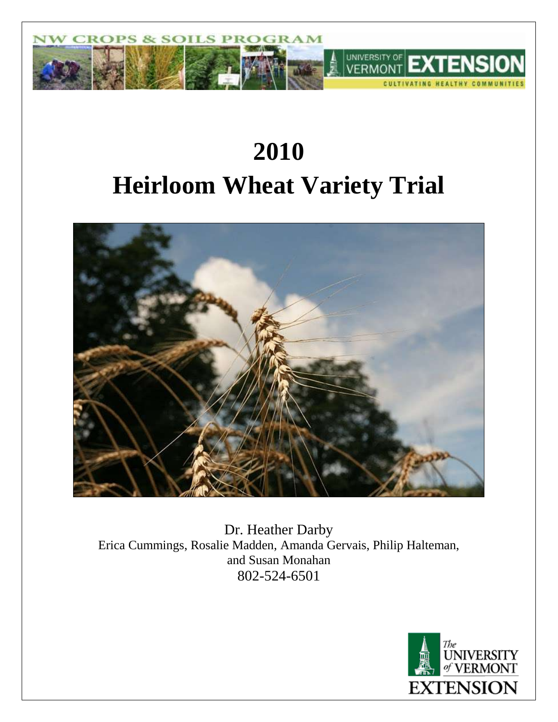

# **2010 Heirloom Wheat Variety Trial**



Dr. Heather Darby Erica Cummings, Rosalie Madden, Amanda Gervais, Philip Halteman, and Susan Monahan 802-524-6501

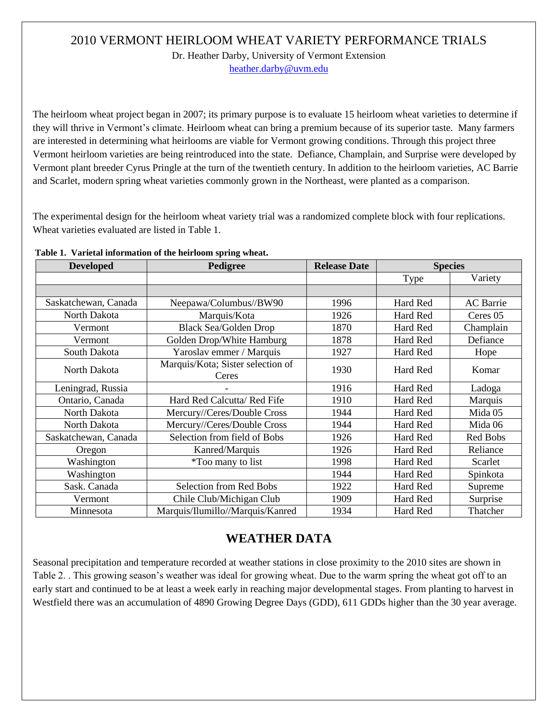### 2010 VERMONT HEIRLOOM WHEAT VARIETY PERFORMANCE TRIALS

Dr. Heather Darby, University of Vermont Extension [heather.darby@uvm.edu](mailto:heather.darby@uvm.edu?subject=2010%20Heirloom%20Wheat%20Report)

The heirloom wheat project began in 2007; its primary purpose is to evaluate 15 heirloom wheat varieties to determine if they will thrive in Vermont's climate. Heirloom wheat can bring a premium because of its superior taste. Many farmers are interested in determining what heirlooms are viable for Vermont growing conditions. Through this project three Vermont heirloom varieties are being reintroduced into the state. Defiance, Champlain, and Surprise were developed by Vermont plant breeder Cyrus Pringle at the turn of the twentieth century. In addition to the heirloom varieties, AC Barrie and Scarlet, modern spring wheat varieties commonly grown in the Northeast, were planted as a comparison.

The experimental design for the heirloom wheat variety trial was a randomized complete block with four replications. Wheat varieties evaluated are listed in Table 1.

| <b>Developed</b>     | Pedigree                                   | <b>Release Date</b> | <b>Species</b> |                  |
|----------------------|--------------------------------------------|---------------------|----------------|------------------|
|                      |                                            |                     | Type           | Variety          |
|                      |                                            |                     |                |                  |
| Saskatchewan, Canada | Neepawa/Columbus//BW90                     | 1996                | Hard Red       | <b>AC</b> Barrie |
| North Dakota         | Marquis/Kota                               | 1926                | Hard Red       | Ceres 05         |
| Vermont              | <b>Black Sea/Golden Drop</b>               | 1870                | Hard Red       | Champlain        |
| Vermont              | Golden Drop/White Hamburg                  | 1878                | Hard Red       | Defiance         |
| South Dakota         | Yaroslav emmer / Marquis                   | 1927                | Hard Red       | Hope             |
| North Dakota         | Marquis/Kota; Sister selection of<br>Ceres | 1930                | Hard Red       | Komar            |
| Leningrad, Russia    |                                            | 1916                | Hard Red       | Ladoga           |
| Ontario, Canada      | Hard Red Calcutta/ Red Fife                | 1910                | Hard Red       | Marquis          |
| North Dakota         | Mercury//Ceres/Double Cross                | 1944                | Hard Red       | Mida 05          |
| North Dakota         | Mercury//Ceres/Double Cross                | 1944                | Hard Red       | Mida 06          |
| Saskatchewan, Canada | Selection from field of Bobs               |                     | Hard Red       | Red Bobs         |
| Oregon               | Kanred/Marquis                             |                     | Hard Red       | Reliance         |
| Washington           | <i>*</i> Too many to list                  | 1998                | Hard Red       | Scarlet          |
| Washington           |                                            | 1944                | Hard Red       | Spinkota         |
| Sask. Canada         | Selection from Red Bobs                    | 1922                | Hard Red       | Supreme          |
| Vermont              | Chile Club/Michigan Club                   | 1909                | Hard Red       | Surprise         |
| Minnesota            | Marquis/Ilumillo//Marquis/Kanred           |                     | Hard Red       | Thatcher         |

**Table 1. Varietal information of the heirloom spring wheat.**

## **WEATHER DATA**

Seasonal precipitation and temperature recorded at weather stations in close proximity to the 2010 sites are shown in Table 2. . This growing season's weather was ideal for growing wheat. Due to the warm spring the wheat got off to an early start and continued to be at least a week early in reaching major developmental stages. From planting to harvest in Westfield there was an accumulation of 4890 Growing Degree Days (GDD), 611 GDDs higher than the 30 year average.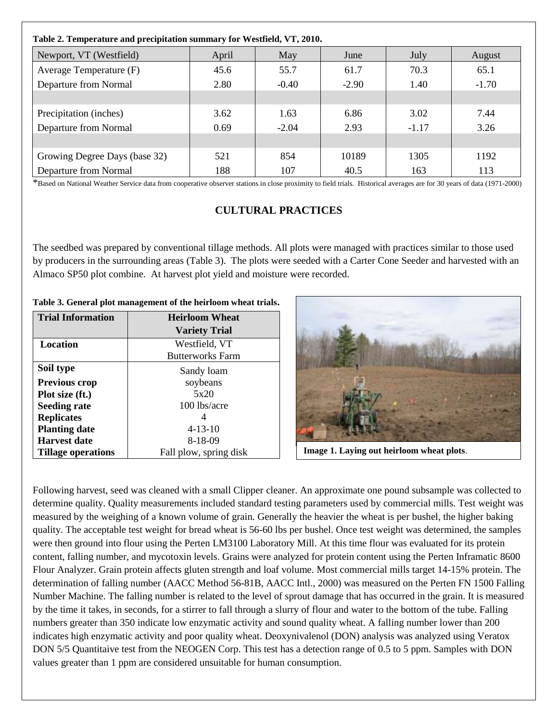| Table 2. Temperature and precipitation summary for Westfield, VT, 2010. |       |         |         |         |         |  |
|-------------------------------------------------------------------------|-------|---------|---------|---------|---------|--|
| Newport, VT (Westfield)                                                 | April | May     | June    | July    | August  |  |
| Average Temperature (F)                                                 | 45.6  | 55.7    | 61.7    | 70.3    | 65.1    |  |
| Departure from Normal                                                   | 2.80  | $-0.40$ | $-2.90$ | 1.40    | $-1.70$ |  |
|                                                                         |       |         |         |         |         |  |
| Precipitation (inches)                                                  | 3.62  | 1.63    | 6.86    | 3.02    | 7.44    |  |
| Departure from Normal                                                   | 0.69  | $-2.04$ | 2.93    | $-1.17$ | 3.26    |  |
|                                                                         |       |         |         |         |         |  |
| Growing Degree Days (base 32)                                           | 521   | 854     | 10189   | 1305    | 1192    |  |
| Departure from Normal                                                   | 188   | 107     | 40.5    | 163     | 113     |  |

\*Based on National Weather Service data from cooperative observer stations in close proximity to field trials. Historical averages are for 30 years of data (1971-2000)

#### **CULTURAL PRACTICES**

The seedbed was prepared by conventional tillage methods. All plots were managed with practices similar to those used by producers in the surrounding areas (Table 3). The plots were seeded with a Carter Cone Seeder and harvested with an Almaco SP50 plot combine. At harvest plot yield and moisture were recorded.

**Table 3. General plot management of the heirloom wheat trials.**

| <b>Trial Information</b>  | <b>Heirloom Wheat</b>   |  |  |
|---------------------------|-------------------------|--|--|
|                           | <b>Variety Trial</b>    |  |  |
| <b>Location</b>           | Westfield, VT           |  |  |
|                           | <b>Butterworks Farm</b> |  |  |
| Soil type                 | Sandy loam              |  |  |
| <b>Previous crop</b>      | soybeans                |  |  |
| Plot size (ft.)           | 5x20                    |  |  |
| <b>Seeding rate</b>       | $100$ lbs/acre          |  |  |
| <b>Replicates</b>         |                         |  |  |
| <b>Planting date</b>      | $4 - 13 - 10$           |  |  |
| Harvest date              | 8-18-09                 |  |  |
| <b>Tillage operations</b> | Fall plow, spring disk  |  |  |



Image 1. Laying out heirloom wheat plots.

Following harvest, seed was cleaned with a small Clipper cleaner. An approximate one pound subsample was collected to determine quality. Quality measurements included standard testing parameters used by commercial mills. Test weight was measured by the weighing of a known volume of grain. Generally the heavier the wheat is per bushel, the higher baking quality. The acceptable test weight for bread wheat is 56-60 lbs per bushel. Once test weight was determined, the samples were then ground into flour using the Perten LM3100 Laboratory Mill. At this time flour was evaluated for its protein content, falling number, and mycotoxin levels. Grains were analyzed for protein content using the Perten Inframatic 8600 Flour Analyzer. Grain protein affects gluten strength and loaf volume. Most commercial mills target 14-15% protein. The determination of falling number (AACC Method 56-81B, AACC Intl., 2000) was measured on the Perten FN 1500 Falling Number Machine. The falling number is related to the level of sprout damage that has occurred in the grain. It is measured by the time it takes, in seconds, for a stirrer to fall through a slurry of flour and water to the bottom of the tube. Falling numbers greater than 350 indicate low enzymatic activity and sound quality wheat. A falling number lower than 200 indicates high enzymatic activity and poor quality wheat. Deoxynivalenol (DON) analysis was analyzed using Veratox DON 5/5 Quantitaive test from the NEOGEN Corp. This test has a detection range of 0.5 to 5 ppm. Samples with DON values greater than 1 ppm are considered unsuitable for human consumption.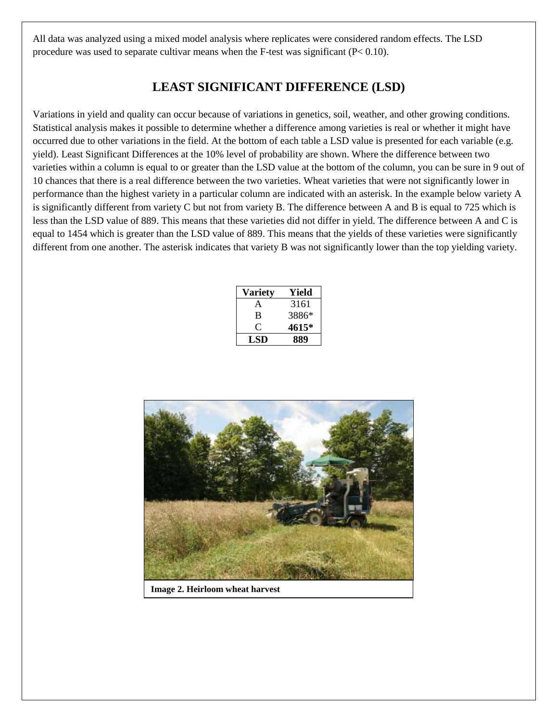All data was analyzed using a mixed model analysis where replicates were considered random effects. The LSD procedure was used to separate cultivar means when the F-test was significant  $(P< 0.10)$ .

## **LEAST SIGNIFICANT DIFFERENCE (LSD)**

Variations in yield and quality can occur because of variations in genetics, soil, weather, and other growing conditions. Statistical analysis makes it possible to determine whether a difference among varieties is real or whether it might have occurred due to other variations in the field. At the bottom of each table a LSD value is presented for each variable (e.g. yield). Least Significant Differences at the 10% level of probability are shown. Where the difference between two varieties within a column is equal to or greater than the LSD value at the bottom of the column, you can be sure in 9 out of 10 chances that there is a real difference between the two varieties. Wheat varieties that were not significantly lower in performance than the highest variety in a particular column are indicated with an asterisk. In the example below variety A is significantly different from variety C but not from variety B. The difference between A and B is equal to 725 which is less than the LSD value of 889. This means that these varieties did not differ in yield. The difference between A and C is equal to 1454 which is greater than the LSD value of 889. This means that the yields of these varieties were significantly different from one another. The asterisk indicates that variety B was not significantly lower than the top yielding variety.

| <b>Variety</b> | Yield |  |  |
|----------------|-------|--|--|
| A              | 3161  |  |  |
| B              | 3886* |  |  |
| . ا            | 4615* |  |  |
| LSD            | 889   |  |  |



**Image 2. Heirloom wheat harvest**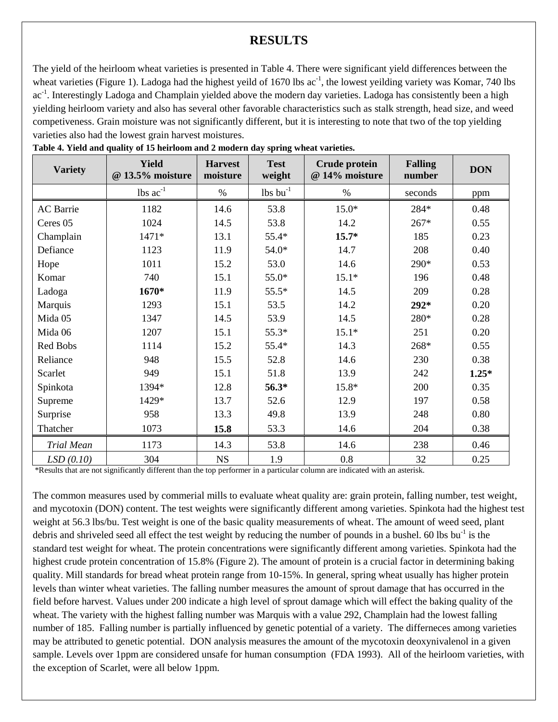#### **RESULTS**

The yield of the heirloom wheat varieties is presented in Table 4. There were significant yield differences between the wheat varieties (Figure 1). Ladoga had the highest yeild of 1670 lbs  $ac^{-1}$ , the lowest yeilding variety was Komar, 740 lbs ac<sup>-1</sup>. Interestingly Ladoga and Champlain yielded above the modern day varieties. Ladoga has consistently been a high yielding heirloom variety and also has several other favorable characteristics such as stalk strength, head size, and weed competiveness. Grain moisture was not significantly different, but it is interesting to note that two of the top yielding varieties also had the lowest grain harvest moistures.

| <b>Variety</b>    | <b>Yield</b><br>@ 13.5% moisture | <b>Harvest</b><br>moisture | <b>Test</b><br>weight  | <b>Crude protein</b><br>@ 14% moisture | <b>Falling</b><br>number | <b>DON</b> |
|-------------------|----------------------------------|----------------------------|------------------------|----------------------------------------|--------------------------|------------|
|                   | lbs $ac^{-1}$                    | $\%$                       | $lbs$ bu <sup>-1</sup> | $\%$                                   | seconds                  | ppm        |
| <b>AC</b> Barrie  | 1182                             | 14.6                       | 53.8                   | $15.0*$                                | 284*                     | 0.48       |
| Ceres 05          | 1024                             | 14.5                       | 53.8                   | 14.2                                   | $267*$                   | 0.55       |
| Champlain         | $1471*$                          | 13.1                       | 55.4*                  | $15.7*$                                | 185                      | 0.23       |
| Defiance          | 1123                             | 11.9                       | $54.0*$                | 14.7                                   | 208                      | 0.40       |
| Hope              | 1011                             | 15.2                       | 53.0                   | 14.6                                   | 290*                     | 0.53       |
| Komar             | 740                              | 15.1                       | $55.0*$                | $15.1*$                                | 196                      | 0.48       |
| Ladoga            | 1670*                            | 11.9                       | $55.5*$                | 14.5                                   | 209                      | 0.28       |
| Marquis           | 1293                             | 15.1                       | 53.5                   | 14.2                                   | $292*$                   | 0.20       |
| Mida 05           | 1347                             | 14.5                       | 53.9                   | 14.5                                   | 280*                     | 0.28       |
| Mida 06           | 1207                             | 15.1                       | $55.3*$                | $15.1*$                                | 251                      | 0.20       |
| Red Bobs          | 1114                             | 15.2                       | 55.4*                  | 14.3                                   | 268*                     | 0.55       |
| Reliance          | 948                              | 15.5                       | 52.8                   | 14.6                                   | 230                      | 0.38       |
| Scarlet           | 949                              | 15.1                       | 51.8                   | 13.9                                   | 242                      | $1.25*$    |
| Spinkota          | 1394*                            | 12.8                       | 56.3*                  | 15.8*                                  | 200                      | 0.35       |
| Supreme           | 1429*                            | 13.7                       | 52.6                   | 12.9                                   | 197                      | 0.58       |
| Surprise          | 958                              | 13.3                       | 49.8                   | 13.9                                   | 248                      | 0.80       |
| Thatcher          | 1073                             | 15.8                       | 53.3                   | 14.6                                   | 204                      | 0.38       |
| <b>Trial Mean</b> | 1173                             | 14.3                       | 53.8                   | 14.6                                   | 238                      | 0.46       |
| LSD(0.10)         | 304                              | NS                         | 1.9                    | 0.8                                    | 32                       | 0.25       |

\*Results that are not significantly different than the top performer in a particular column are indicated with an asterisk.

The common measures used by commerial mills to evaluate wheat quality are: grain protein, falling number, test weight, and mycotoxin (DON) content. The test weights were significantly different among varieties. Spinkota had the highest test weight at 56.3 lbs/bu. Test weight is one of the basic quality measurements of wheat. The amount of weed seed, plant debris and shriveled seed all effect the test weight by reducing the number of pounds in a bushel. 60 lbs bu<sup>-1</sup> is the standard test weight for wheat. The protein concentrations were significantly different among varieties. Spinkota had the highest crude protein concentration of 15.8% (Figure 2). The amount of protein is a crucial factor in determining baking quality. Mill standards for bread wheat protein range from 10-15%. In general, spring wheat usually has higher protein levels than winter wheat varieties. The falling number measures the amount of sprout damage that has occurred in the field before harvest. Values under 200 indicate a high level of sprout damage which will effect the baking quality of the wheat. The variety with the highest falling number was Marquis with a value 292, Champlain had the lowest falling number of 185. Falling number is partially influenced by genetic potential of a variety. The differneces among varieties may be attributed to genetic potential. DON analysis measures the amount of the mycotoxin deoxynivalenol in a given sample. Levels over 1ppm are considered unsafe for human consumption (FDA 1993). All of the heirloom varieties, with the exception of Scarlet, were all below 1ppm.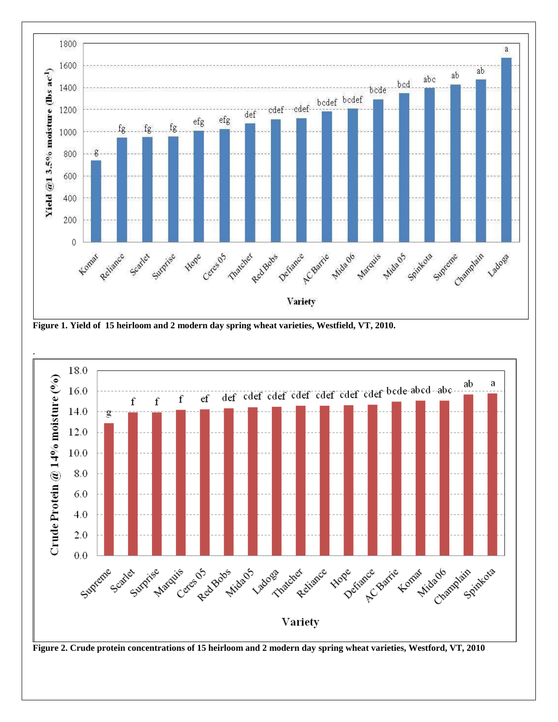